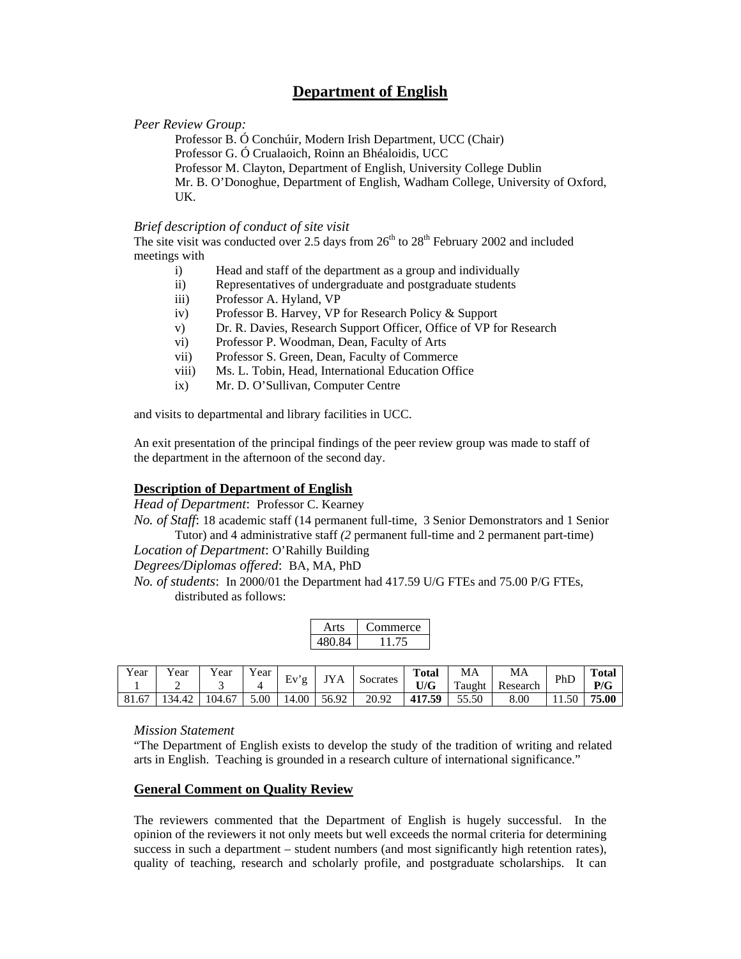# **Department of English**

#### *Peer Review Group:*

Professor B. Ó Conchúir, Modern Irish Department, UCC (Chair) Professor G. Ó Crualaoich, Roinn an Bhéaloidis, UCC Professor M. Clayton, Department of English, University College Dublin Mr. B. O'Donoghue, Department of English, Wadham College, University of Oxford, UK.

#### *Brief description of conduct of site visit*

The site visit was conducted over 2.5 days from  $26<sup>th</sup>$  to  $28<sup>th</sup>$  February 2002 and included meetings with

- i) Head and staff of the department as a group and individually
- ii) Representatives of undergraduate and postgraduate students
- iii) Professor A. Hyland, VP
- iv) Professor B. Harvey, VP for Research Policy & Support
- v) Dr. R. Davies, Research Support Officer, Office of VP for Research
- vi) Professor P. Woodman, Dean, Faculty of Arts
- vii) Professor S. Green, Dean, Faculty of Commerce
- viii) Ms. L. Tobin, Head, International Education Office
- ix) Mr. D. O'Sullivan, Computer Centre

and visits to departmental and library facilities in UCC.

An exit presentation of the principal findings of the peer review group was made to staff of the department in the afternoon of the second day.

## **Description of Department of English**

*Head of Department*: Professor C. Kearney

*No. of Staff*: 18 academic staff (14 permanent full-time, 3 Senior Demonstrators and 1 Senior Tutor) and 4 administrative staff *(2* permanent full-time and 2 permanent part-time)

## *Location of Department*: O'Rahilly Building

*Degrees/Diplomas offered*: BA, MA, PhD

*No. of students*: In 2000/01 the Department had 417.59 U/G FTEs and 75.00 P/G FTEs, distributed as follows:

|      | ommerce |
|------|---------|
| O 84 |         |

| Year  | ear<br>- | ear   | 'ear | Ev'   | $\mathbf{Y} \mathbf{A}$ | Socrates | Total<br>U/G | MA<br>Taught | MA<br>Research | PhD  | <b>Total</b><br>P/G |
|-------|----------|-------|------|-------|-------------------------|----------|--------------|--------------|----------------|------|---------------------|
| 81.67 |          | 04.67 | 5.00 | 14.00 | 56.92                   | 20.92    | 417.59       | 55.50        | 8.00           | 1.50 | 75.00               |

## *Mission Statement*

"The Department of English exists to develop the study of the tradition of writing and related arts in English. Teaching is grounded in a research culture of international significance."

## **General Comment on Quality Review**

The reviewers commented that the Department of English is hugely successful. In the opinion of the reviewers it not only meets but well exceeds the normal criteria for determining success in such a department – student numbers (and most significantly high retention rates), quality of teaching, research and scholarly profile, and postgraduate scholarships. It can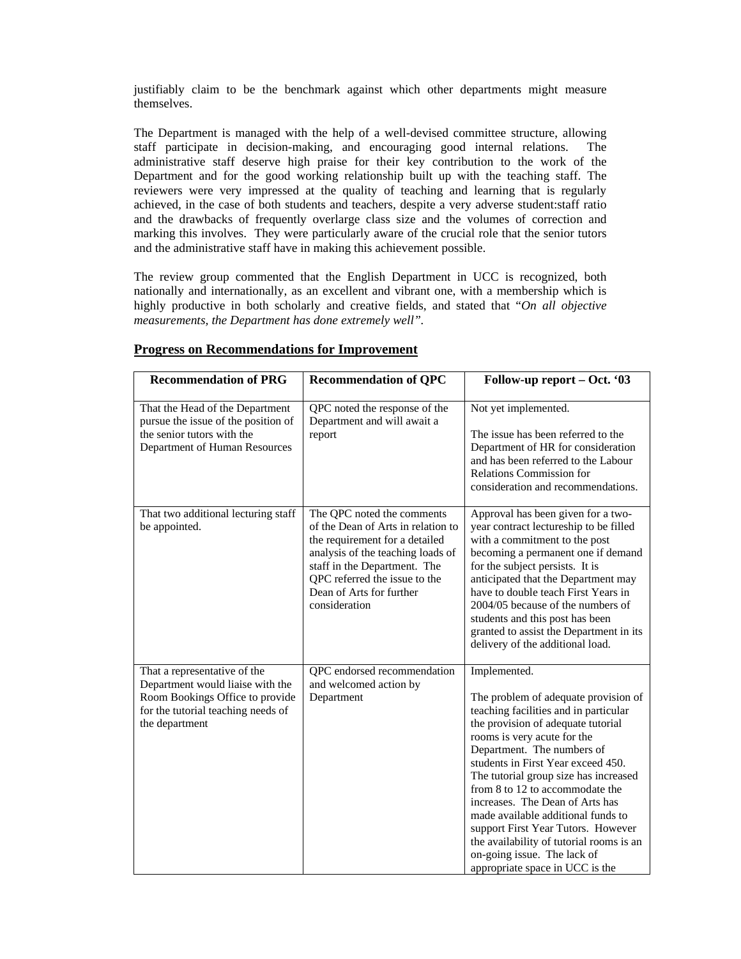justifiably claim to be the benchmark against which other departments might measure themselves.

The Department is managed with the help of a well-devised committee structure, allowing staff participate in decision-making, and encouraging good internal relations. The administrative staff deserve high praise for their key contribution to the work of the Department and for the good working relationship built up with the teaching staff. The reviewers were very impressed at the quality of teaching and learning that is regularly achieved, in the case of both students and teachers, despite a very adverse student:staff ratio and the drawbacks of frequently overlarge class size and the volumes of correction and marking this involves. They were particularly aware of the crucial role that the senior tutors and the administrative staff have in making this achievement possible.

The review group commented that the English Department in UCC is recognized, both nationally and internationally, as an excellent and vibrant one, with a membership which is highly productive in both scholarly and creative fields, and stated that "*On all objective measurements, the Department has done extremely well".* 

| <b>Recommendation of PRG</b>                                                                                                                                | <b>Recommendation of QPC</b>                                                                                                                                                                                                                          | Follow-up report – Oct. '03                                                                                                                                                                                                                                                                                                                                                                                                                                                                                                                     |
|-------------------------------------------------------------------------------------------------------------------------------------------------------------|-------------------------------------------------------------------------------------------------------------------------------------------------------------------------------------------------------------------------------------------------------|-------------------------------------------------------------------------------------------------------------------------------------------------------------------------------------------------------------------------------------------------------------------------------------------------------------------------------------------------------------------------------------------------------------------------------------------------------------------------------------------------------------------------------------------------|
| That the Head of the Department<br>pursue the issue of the position of<br>the senior tutors with the<br>Department of Human Resources                       | QPC noted the response of the<br>Department and will await a<br>report                                                                                                                                                                                | Not yet implemented.<br>The issue has been referred to the<br>Department of HR for consideration<br>and has been referred to the Labour<br><b>Relations Commission for</b><br>consideration and recommendations.                                                                                                                                                                                                                                                                                                                                |
| That two additional lecturing staff<br>be appointed.                                                                                                        | The QPC noted the comments<br>of the Dean of Arts in relation to<br>the requirement for a detailed<br>analysis of the teaching loads of<br>staff in the Department. The<br>QPC referred the issue to the<br>Dean of Arts for further<br>consideration | Approval has been given for a two-<br>year contract lectureship to be filled<br>with a commitment to the post<br>becoming a permanent one if demand<br>for the subject persists. It is<br>anticipated that the Department may<br>have to double teach First Years in<br>2004/05 because of the numbers of<br>students and this post has been<br>granted to assist the Department in its<br>delivery of the additional load.                                                                                                                     |
| That a representative of the<br>Department would liaise with the<br>Room Bookings Office to provide<br>for the tutorial teaching needs of<br>the department | QPC endorsed recommendation<br>and welcomed action by<br>Department                                                                                                                                                                                   | Implemented.<br>The problem of adequate provision of<br>teaching facilities and in particular<br>the provision of adequate tutorial<br>rooms is very acute for the<br>Department. The numbers of<br>students in First Year exceed 450.<br>The tutorial group size has increased<br>from 8 to 12 to accommodate the<br>increases. The Dean of Arts has<br>made available additional funds to<br>support First Year Tutors. However<br>the availability of tutorial rooms is an<br>on-going issue. The lack of<br>appropriate space in UCC is the |

#### **Progress on Recommendations for Improvement**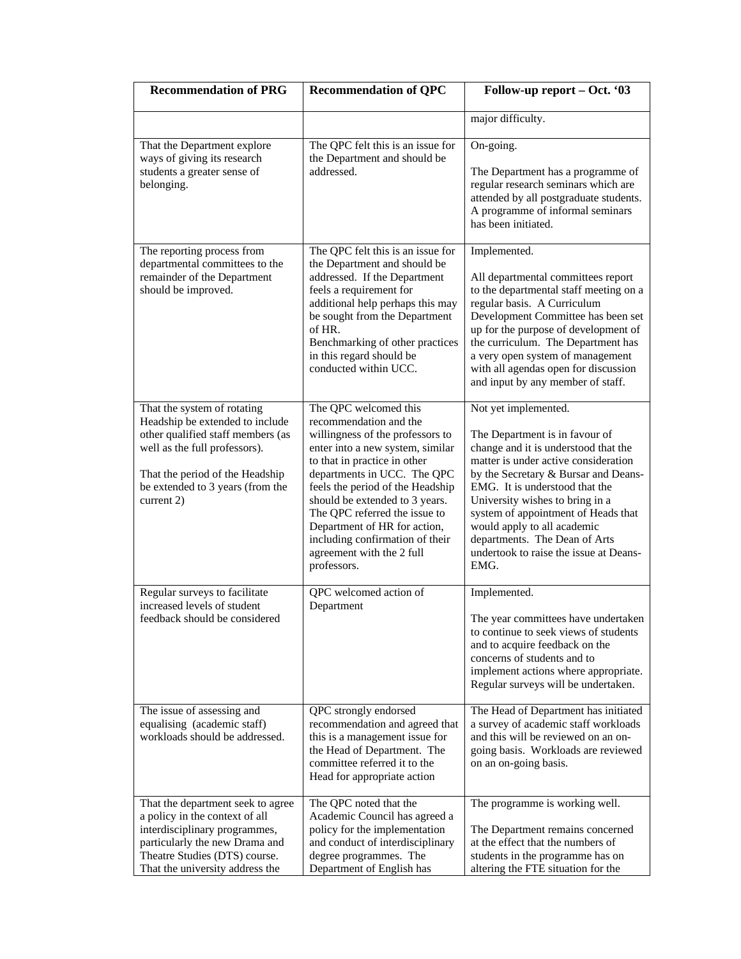| <b>Recommendation of PRG</b>                                                                                                                                                                                              | <b>Recommendation of QPC</b>                                                                                                                                                                                                                                                                                                                                                                                 | Follow-up report – Oct. '03                                                                                                                                                                                                                                                                                                                                                                                 |  |  |
|---------------------------------------------------------------------------------------------------------------------------------------------------------------------------------------------------------------------------|--------------------------------------------------------------------------------------------------------------------------------------------------------------------------------------------------------------------------------------------------------------------------------------------------------------------------------------------------------------------------------------------------------------|-------------------------------------------------------------------------------------------------------------------------------------------------------------------------------------------------------------------------------------------------------------------------------------------------------------------------------------------------------------------------------------------------------------|--|--|
|                                                                                                                                                                                                                           |                                                                                                                                                                                                                                                                                                                                                                                                              | major difficulty.                                                                                                                                                                                                                                                                                                                                                                                           |  |  |
| That the Department explore<br>ways of giving its research<br>students a greater sense of<br>belonging.                                                                                                                   | The QPC felt this is an issue for<br>the Department and should be<br>addressed.                                                                                                                                                                                                                                                                                                                              | On-going.<br>The Department has a programme of<br>regular research seminars which are<br>attended by all postgraduate students.<br>A programme of informal seminars<br>has been initiated.                                                                                                                                                                                                                  |  |  |
| The reporting process from<br>departmental committees to the<br>remainder of the Department<br>should be improved.                                                                                                        | The QPC felt this is an issue for<br>the Department and should be<br>addressed. If the Department<br>feels a requirement for<br>additional help perhaps this may<br>be sought from the Department<br>of HR.<br>Benchmarking of other practices<br>in this regard should be<br>conducted within UCC.                                                                                                          | Implemented.<br>All departmental committees report<br>to the departmental staff meeting on a<br>regular basis. A Curriculum<br>Development Committee has been set<br>up for the purpose of development of<br>the curriculum. The Department has<br>a very open system of management<br>with all agendas open for discussion<br>and input by any member of staff.                                            |  |  |
| That the system of rotating<br>Headship be extended to include<br>other qualified staff members (as<br>well as the full professors).<br>That the period of the Headship<br>be extended to 3 years (from the<br>current 2) | The QPC welcomed this<br>recommendation and the<br>willingness of the professors to<br>enter into a new system, similar<br>to that in practice in other<br>departments in UCC. The QPC<br>feels the period of the Headship<br>should be extended to 3 years.<br>The QPC referred the issue to<br>Department of HR for action,<br>including confirmation of their<br>agreement with the 2 full<br>professors. | Not yet implemented.<br>The Department is in favour of<br>change and it is understood that the<br>matter is under active consideration<br>by the Secretary & Bursar and Deans-<br>EMG. It is understood that the<br>University wishes to bring in a<br>system of appointment of Heads that<br>would apply to all academic<br>departments. The Dean of Arts<br>undertook to raise the issue at Deans-<br>EMG |  |  |
| Regular surveys to facilitate<br>increased levels of student<br>feedback should be considered                                                                                                                             | QPC welcomed action of<br>Department                                                                                                                                                                                                                                                                                                                                                                         | Implemented.<br>The year committees have undertaken<br>to continue to seek views of students<br>and to acquire feedback on the<br>concerns of students and to<br>implement actions where appropriate.<br>Regular surveys will be undertaken.                                                                                                                                                                |  |  |
| The issue of assessing and<br>equalising (academic staff)<br>workloads should be addressed.                                                                                                                               | QPC strongly endorsed<br>recommendation and agreed that<br>this is a management issue for<br>the Head of Department. The<br>committee referred it to the<br>Head for appropriate action                                                                                                                                                                                                                      | The Head of Department has initiated<br>a survey of academic staff workloads<br>and this will be reviewed on an on-<br>going basis. Workloads are reviewed<br>on an on-going basis.                                                                                                                                                                                                                         |  |  |
| That the department seek to agree<br>a policy in the context of all<br>interdisciplinary programmes,<br>particularly the new Drama and<br>Theatre Studies (DTS) course.<br>That the university address the                | The QPC noted that the<br>Academic Council has agreed a<br>policy for the implementation<br>and conduct of interdisciplinary<br>degree programmes. The<br>Department of English has                                                                                                                                                                                                                          | The programme is working well.<br>The Department remains concerned<br>at the effect that the numbers of<br>students in the programme has on<br>altering the FTE situation for the                                                                                                                                                                                                                           |  |  |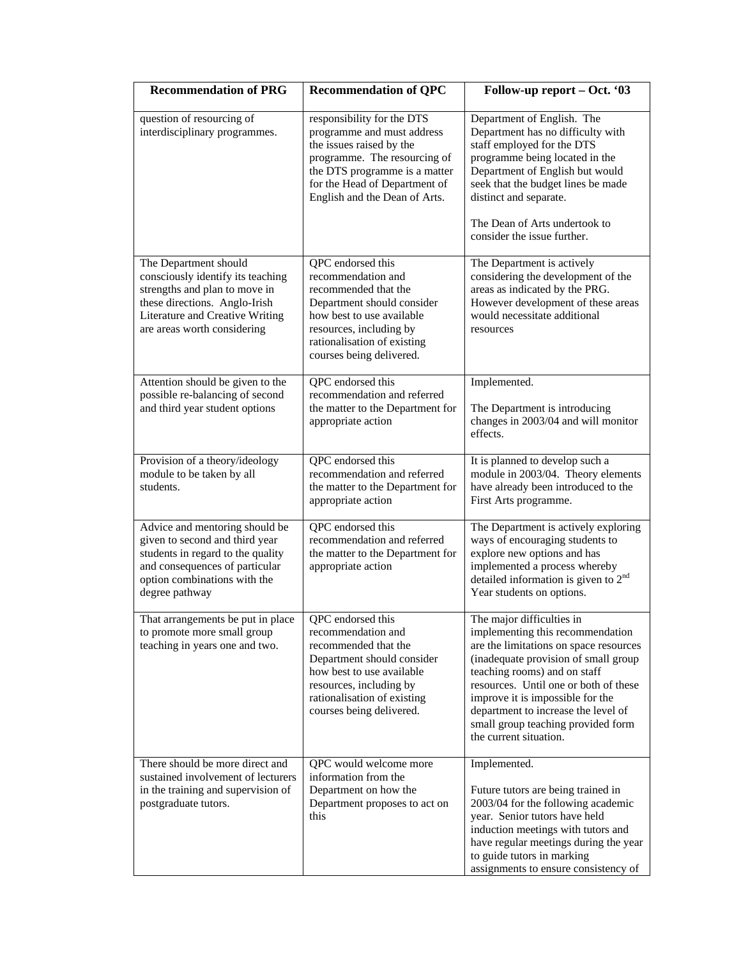| <b>Recommendation of PRG</b>                                                                                                                                                                   | <b>Recommendation of QPC</b>                                                                                                                                                                                            | Follow-up report – Oct. '03                                                                                                                                                                                                                                                                                                                                         |
|------------------------------------------------------------------------------------------------------------------------------------------------------------------------------------------------|-------------------------------------------------------------------------------------------------------------------------------------------------------------------------------------------------------------------------|---------------------------------------------------------------------------------------------------------------------------------------------------------------------------------------------------------------------------------------------------------------------------------------------------------------------------------------------------------------------|
| question of resourcing of<br>interdisciplinary programmes.                                                                                                                                     | responsibility for the DTS<br>programme and must address<br>the issues raised by the<br>programme. The resourcing of<br>the DTS programme is a matter<br>for the Head of Department of<br>English and the Dean of Arts. | Department of English. The<br>Department has no difficulty with<br>staff employed for the DTS<br>programme being located in the<br>Department of English but would<br>seek that the budget lines be made<br>distinct and separate.                                                                                                                                  |
|                                                                                                                                                                                                |                                                                                                                                                                                                                         | The Dean of Arts undertook to<br>consider the issue further.                                                                                                                                                                                                                                                                                                        |
| The Department should<br>consciously identify its teaching<br>strengths and plan to move in<br>these directions. Anglo-Irish<br>Literature and Creative Writing<br>are areas worth considering | QPC endorsed this<br>recommendation and<br>recommended that the<br>Department should consider<br>how best to use available<br>resources, including by<br>rationalisation of existing<br>courses being delivered.        | The Department is actively<br>considering the development of the<br>areas as indicated by the PRG.<br>However development of these areas<br>would necessitate additional<br>resources                                                                                                                                                                               |
| Attention should be given to the<br>possible re-balancing of second<br>and third year student options                                                                                          | QPC endorsed this<br>recommendation and referred<br>the matter to the Department for<br>appropriate action                                                                                                              | Implemented.<br>The Department is introducing<br>changes in 2003/04 and will monitor<br>effects.                                                                                                                                                                                                                                                                    |
| Provision of a theory/ideology<br>module to be taken by all<br>students.                                                                                                                       | QPC endorsed this<br>recommendation and referred<br>the matter to the Department for<br>appropriate action                                                                                                              | It is planned to develop such a<br>module in 2003/04. Theory elements<br>have already been introduced to the<br>First Arts programme.                                                                                                                                                                                                                               |
| Advice and mentoring should be<br>given to second and third year<br>students in regard to the quality<br>and consequences of particular<br>option combinations with the<br>degree pathway      | QPC endorsed this<br>recommendation and referred<br>the matter to the Department for<br>appropriate action                                                                                                              | The Department is actively exploring<br>ways of encouraging students to<br>explore new options and has<br>implemented a process whereby<br>detailed information is given to $2nd$<br>Year students on options.                                                                                                                                                      |
| That arrangements be put in place<br>to promote more small group<br>teaching in years one and two.                                                                                             | QPC endorsed this<br>recommendation and<br>recommended that the<br>Department should consider<br>how best to use available<br>resources, including by<br>rationalisation of existing<br>courses being delivered.        | The major difficulties in<br>implementing this recommendation<br>are the limitations on space resources<br>(inadequate provision of small group<br>teaching rooms) and on staff<br>resources. Until one or both of these<br>improve it is impossible for the<br>department to increase the level of<br>small group teaching provided form<br>the current situation. |
| There should be more direct and<br>sustained involvement of lecturers<br>in the training and supervision of<br>postgraduate tutors.                                                            | QPC would welcome more<br>information from the<br>Department on how the<br>Department proposes to act on<br>this                                                                                                        | Implemented.<br>Future tutors are being trained in<br>2003/04 for the following academic<br>year. Senior tutors have held<br>induction meetings with tutors and<br>have regular meetings during the year<br>to guide tutors in marking<br>assignments to ensure consistency of                                                                                      |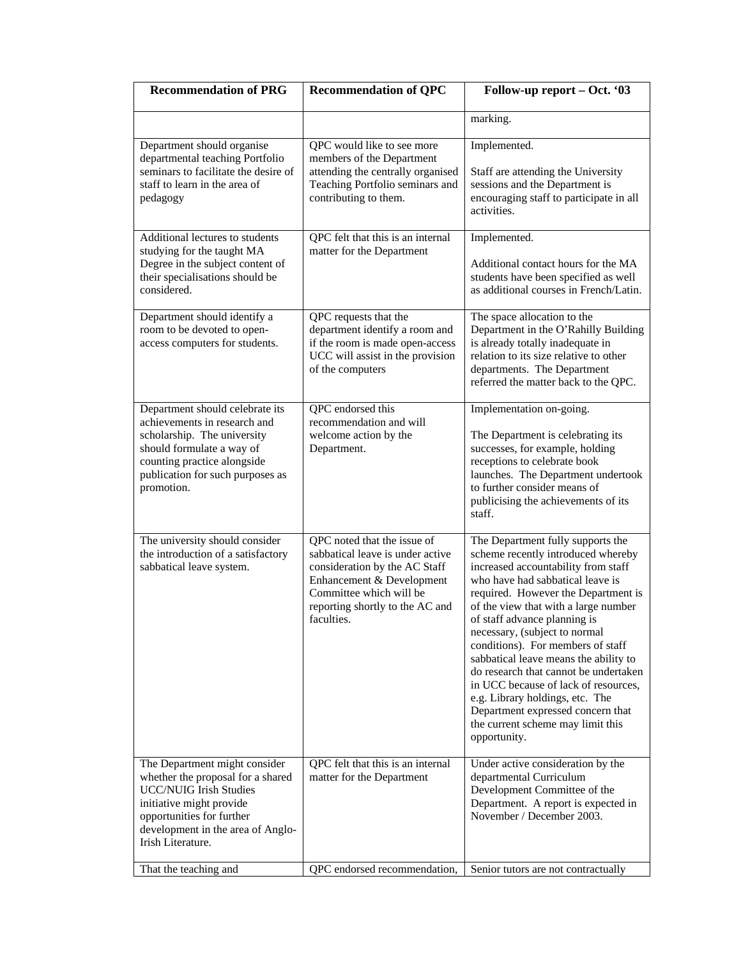| <b>Recommendation of PRG</b>                                                                                                                                                                                           | <b>Recommendation of QPC</b>                                                                                                                                                                              | Follow-up report - Oct. '03                                                                                                                                                                                                                                                                                                                                                                                                                                                                                                                                                                    |  |  |
|------------------------------------------------------------------------------------------------------------------------------------------------------------------------------------------------------------------------|-----------------------------------------------------------------------------------------------------------------------------------------------------------------------------------------------------------|------------------------------------------------------------------------------------------------------------------------------------------------------------------------------------------------------------------------------------------------------------------------------------------------------------------------------------------------------------------------------------------------------------------------------------------------------------------------------------------------------------------------------------------------------------------------------------------------|--|--|
|                                                                                                                                                                                                                        |                                                                                                                                                                                                           | marking.                                                                                                                                                                                                                                                                                                                                                                                                                                                                                                                                                                                       |  |  |
| Department should organise<br>departmental teaching Portfolio<br>seminars to facilitate the desire of<br>staff to learn in the area of<br>pedagogy                                                                     | QPC would like to see more<br>members of the Department<br>attending the centrally organised<br>Teaching Portfolio seminars and<br>contributing to them.                                                  | Implemented.<br>Staff are attending the University<br>sessions and the Department is<br>encouraging staff to participate in all<br>activities.                                                                                                                                                                                                                                                                                                                                                                                                                                                 |  |  |
| Additional lectures to students<br>studying for the taught MA<br>Degree in the subject content of<br>their specialisations should be<br>considered.                                                                    | QPC felt that this is an internal<br>matter for the Department                                                                                                                                            | Implemented.<br>Additional contact hours for the MA<br>students have been specified as well<br>as additional courses in French/Latin.                                                                                                                                                                                                                                                                                                                                                                                                                                                          |  |  |
| Department should identify a<br>room to be devoted to open-<br>access computers for students.                                                                                                                          | QPC requests that the<br>department identify a room and<br>if the room is made open-access<br>UCC will assist in the provision<br>of the computers                                                        | The space allocation to the<br>Department in the O'Rahilly Building<br>is already totally inadequate in<br>relation to its size relative to other<br>departments. The Department<br>referred the matter back to the QPC.                                                                                                                                                                                                                                                                                                                                                                       |  |  |
| Department should celebrate its<br>achievements in research and<br>scholarship. The university<br>should formulate a way of<br>counting practice alongside<br>publication for such purposes as<br>promotion.           | QPC endorsed this<br>recommendation and will<br>welcome action by the<br>Department.                                                                                                                      | Implementation on-going.<br>The Department is celebrating its<br>successes, for example, holding<br>receptions to celebrate book<br>launches. The Department undertook<br>to further consider means of<br>publicising the achievements of its<br>staff.                                                                                                                                                                                                                                                                                                                                        |  |  |
| The university should consider<br>the introduction of a satisfactory<br>sabbatical leave system.                                                                                                                       | QPC noted that the issue of<br>sabbatical leave is under active<br>consideration by the AC Staff<br>Enhancement & Development<br>Committee which will be<br>reporting shortly to the AC and<br>faculties. | The Department fully supports the<br>scheme recently introduced whereby<br>increased accountability from staff<br>who have had sabbatical leave is<br>required. However the Department is<br>of the view that with a large number<br>of staff advance planning is<br>necessary, (subject to normal<br>conditions). For members of staff<br>sabbatical leave means the ability to<br>do research that cannot be undertaken<br>in UCC because of lack of resources,<br>e.g. Library holdings, etc. The<br>Department expressed concern that<br>the current scheme may limit this<br>opportunity. |  |  |
| The Department might consider<br>whether the proposal for a shared<br><b>UCC/NUIG Irish Studies</b><br>initiative might provide<br>opportunities for further<br>development in the area of Anglo-<br>Irish Literature. | QPC felt that this is an internal<br>matter for the Department                                                                                                                                            | Under active consideration by the<br>departmental Curriculum<br>Development Committee of the<br>Department. A report is expected in<br>November / December 2003.                                                                                                                                                                                                                                                                                                                                                                                                                               |  |  |
| That the teaching and                                                                                                                                                                                                  | QPC endorsed recommendation,                                                                                                                                                                              | Senior tutors are not contractually                                                                                                                                                                                                                                                                                                                                                                                                                                                                                                                                                            |  |  |